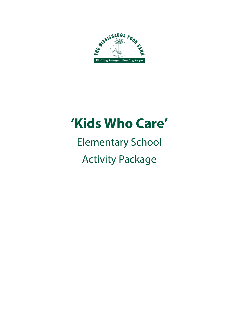

# **'Kids Who Care'**

## Elementary School Activity Package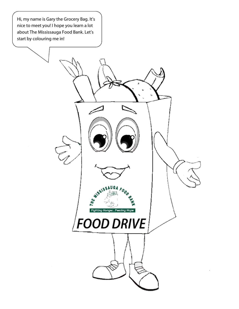: 1<br>วy Hi, my name is Gary the Grocery Bag. It's nice to meet you! I hope you learn a lot about The Mississauga Food Bank. Let's start by colouring me in!

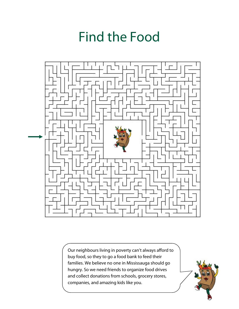## Find the Food



Our neighbours living in poverty can't always afford to buy food, so they to go a food bank to feed their families. We believe no one in Mississauga should go hungry. So we need friends to organize food drives and collect donations from schools, grocery stores, companies, and amazing kids like you.

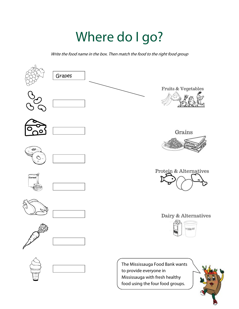## Where do I go?

Write the food name in the box. Then match the food to the right food group

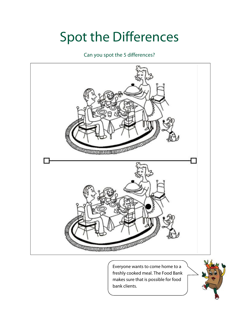## Spot the Differences

Can you spot the 5 differences?



Everyone wants to come home to a freshly cooked meal. The Food Bank makes sure that is possible for food bank clients.

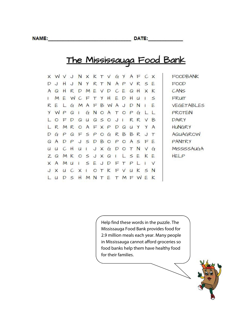DATE:

#### The Mississauga Food Bank

| X            | W             |              | J       |                |                |   |              |           |                |              |               | NXKTVGYAFCX  |        |              | FOODBANK          |
|--------------|---------------|--------------|---------|----------------|----------------|---|--------------|-----------|----------------|--------------|---------------|--------------|--------|--------------|-------------------|
| D            | $\cup$        | н            | $\cdot$ | N              | Y              |   | R T N        |           | $\mathsf{A}$   | P            | $\vee$        | $R$ $S$ $E$  |        |              | FOOD              |
| A            | $\Omega$      | н            | R       | D              |                |   |              | MEVDCEQH  |                |              |               |              | X K    |              | CANS              |
| Ł            | M             | E            | W       | $C$ F T Y H    |                |   |              |           |                | EDH          |               | $\mathsf{u}$ |        | $\sim$       | FRUIT             |
| R            | E             | $\mathbf{L}$ |         | $G \mid M$     |                |   |              | AFBWAJD   |                |              |               | <sup>N</sup> |        | E            | <b>VEGETABLES</b> |
| Y            | WPQ           |              |         | $\blacksquare$ |                |   |              | GNOATOPG  |                |              |               |              |        |              | PROTEIN           |
|              | $\Omega$      | F            | D       | $\Omega$       | u              |   |              | Q50J      |                | $\mathbf{I}$ |               | R R          | $\vee$ | B            | DAIRY             |
|              |               |              |         |                |                |   |              | RMROAFXPD |                | $\Omega$     | $U$ $Y$       |              | Y      | $\mathsf{A}$ | HUNGRY            |
| D            | G             | P            |         | Q F S P        |                |   | $O$ $G$      |           |                |              |               | <b>RBBR</b>  | J      | T            | AQUAGROW          |
| $\Omega$     | $\mathcal{A}$ | D            | P       |                |                |   |              |           |                |              |               | JSDBOPOASFE  |        |              | PANTRY            |
| U            | u             | $C$ $H$      |         | U              | $\blacksquare$ |   | $J \times G$ |           | $\mathsf{D}$   | $\circ$      | T             | N            | V      | G            | MISSISSAUGA       |
| $\mathbb{Z}$ | $\Omega$      |              | MKOSJXQ |                |                |   |              |           | $\blacksquare$ |              |               | LSE          | KE     |              | HELP              |
| $\times$     | A             | M            | $\cup$  | п              | $\leq$         | E | JD           |           | F              | Τ            | $\mathcal{P}$ |              |        | $\vee$       |                   |
| J            | $\times$      |              | U C X   |                | ш              |   |              | OTKFVUK   |                |              |               |              |        | $\leq N$     |                   |
|              |               |              | $\leq$  | н              | M              | N | $\tau$       | E T       |                | M            | F             | W            | F      | $\mathsf{k}$ |                   |
|              |               |              |         |                |                |   |              |           |                |              |               |              |        |              |                   |

Help find these words in the puzzle. The Mississauga Food Bank provides food for 2.9 million meals each year. Many people in Mississauga cannot afford groceries so food banks help them have healthy food for their families.

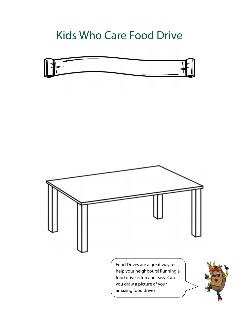#### Kids Who Care Food Drive